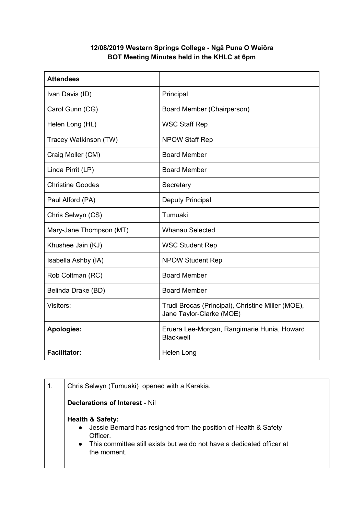## **12/08/2019 Western Springs College - Ngā Puna O Waiōra BOT Meeting Minutes held in the KHLC at 6pm**

| <b>Attendees</b>        |                                                                               |
|-------------------------|-------------------------------------------------------------------------------|
| Ivan Davis (ID)         | Principal                                                                     |
| Carol Gunn (CG)         | Board Member (Chairperson)                                                    |
| Helen Long (HL)         | <b>WSC Staff Rep</b>                                                          |
| Tracey Watkinson (TW)   | <b>NPOW Staff Rep</b>                                                         |
| Craig Moller (CM)       | <b>Board Member</b>                                                           |
| Linda Pirrit (LP)       | <b>Board Member</b>                                                           |
| <b>Christine Goodes</b> | Secretary                                                                     |
| Paul Alford (PA)        | <b>Deputy Principal</b>                                                       |
| Chris Selwyn (CS)       | Tumuaki                                                                       |
| Mary-Jane Thompson (MT) | <b>Whanau Selected</b>                                                        |
| Khushee Jain (KJ)       | <b>WSC Student Rep</b>                                                        |
| Isabella Ashby (IA)     | <b>NPOW Student Rep</b>                                                       |
| Rob Coltman (RC)        | <b>Board Member</b>                                                           |
| Belinda Drake (BD)      | <b>Board Member</b>                                                           |
| Visitors:               | Trudi Brocas (Principal), Christine Miller (MOE),<br>Jane Taylor-Clarke (MOE) |
| <b>Apologies:</b>       | Eruera Lee-Morgan, Rangimarie Hunia, Howard<br><b>Blackwell</b>               |
| <b>Facilitator:</b>     | Helen Long                                                                    |

| $\mathbf 1$ . | Chris Selwyn (Tumuaki) opened with a Karakia.                                                                                                                                                                                 |  |
|---------------|-------------------------------------------------------------------------------------------------------------------------------------------------------------------------------------------------------------------------------|--|
|               | Declarations of Interest - Nil                                                                                                                                                                                                |  |
|               | <b>Health &amp; Safety:</b><br>Jessie Bernard has resigned from the position of Health & Safety<br>$\bullet$<br>Officer.<br>This committee still exists but we do not have a dedicated officer at<br>$\bullet$<br>the moment. |  |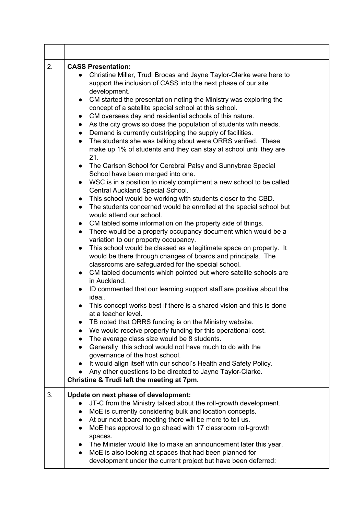| 2. | <b>CASS Presentation:</b><br>Christine Miller, Trudi Brocas and Jayne Taylor-Clarke were here to<br>$\bullet$<br>support the inclusion of CASS into the next phase of our site<br>development.<br>CM started the presentation noting the Ministry was exploring the<br>$\bullet$<br>concept of a satellite special school at this school.<br>CM oversees day and residential schools of this nature.<br>$\bullet$<br>As the city grows so does the population of students with needs.<br>$\bullet$<br>Demand is currently outstripping the supply of facilities.<br>$\bullet$<br>The students she was talking about were ORRS verified. These<br>$\bullet$<br>make up 1% of students and they can stay at school until they are<br>21.<br>The Carlson School for Cerebral Palsy and Sunnybrae Special<br>$\bullet$<br>School have been merged into one.<br>WSC is in a position to nicely compliment a new school to be called<br>$\bullet$<br>Central Auckland Special School.<br>This school would be working with students closer to the CBD.<br>$\bullet$<br>The students concerned would be enrolled at the special school but<br>$\bullet$<br>would attend our school.<br>CM tabled some information on the property side of things.<br>$\bullet$<br>There would be a property occupancy document which would be a<br>$\bullet$<br>variation to our property occupancy.<br>This school would be classed as a legitimate space on property. It<br>$\bullet$<br>would be there through changes of boards and principals. The<br>classrooms are safeguarded for the special school.<br>CM tabled documents which pointed out where satelite schools are<br>$\bullet$<br>in Auckland.<br>ID commented that our learning support staff are positive about the<br>idea<br>This concept works best if there is a shared vision and this is done<br>at a teacher level.<br>TB noted that ORRS funding is on the Ministry website.<br>We would receive property funding for this operational cost.<br>The average class size would be 8 students.<br>$\bullet$<br>Generally this school would not have much to do with the<br>$\bullet$<br>governance of the host school.<br>It would align itself with our school's Health and Safety Policy.<br>Any other questions to be directed to Jayne Taylor-Clarke.<br>Christine & Trudi left the meeting at 7pm. |  |
|----|---------------------------------------------------------------------------------------------------------------------------------------------------------------------------------------------------------------------------------------------------------------------------------------------------------------------------------------------------------------------------------------------------------------------------------------------------------------------------------------------------------------------------------------------------------------------------------------------------------------------------------------------------------------------------------------------------------------------------------------------------------------------------------------------------------------------------------------------------------------------------------------------------------------------------------------------------------------------------------------------------------------------------------------------------------------------------------------------------------------------------------------------------------------------------------------------------------------------------------------------------------------------------------------------------------------------------------------------------------------------------------------------------------------------------------------------------------------------------------------------------------------------------------------------------------------------------------------------------------------------------------------------------------------------------------------------------------------------------------------------------------------------------------------------------------------------------------------------------------------------------------------------------------------------------------------------------------------------------------------------------------------------------------------------------------------------------------------------------------------------------------------------------------------------------------------------------------------------------------------------------------------------------------------------------------------------------------------------------------|--|
| 3. | Update on next phase of development:<br>JT-C from the Ministry talked about the roll-growth development.<br>MoE is currently considering bulk and location concepts.<br>$\bullet$<br>At our next board meeting there will be more to tell us.<br>$\bullet$<br>MoE has approval to go ahead with 17 classroom roll-growth<br>$\bullet$<br>spaces.<br>The Minister would like to make an announcement later this year.<br>$\bullet$<br>MoE is also looking at spaces that had been planned for<br>$\bullet$<br>development under the current project but have been deferred:                                                                                                                                                                                                                                                                                                                                                                                                                                                                                                                                                                                                                                                                                                                                                                                                                                                                                                                                                                                                                                                                                                                                                                                                                                                                                                                                                                                                                                                                                                                                                                                                                                                                                                                                                                              |  |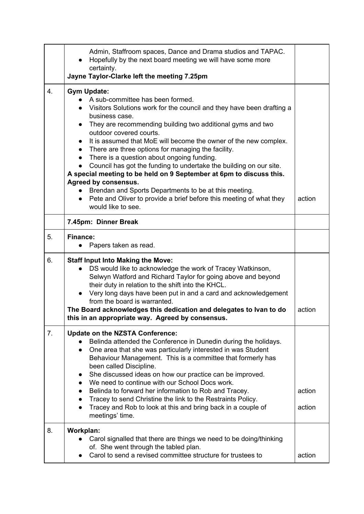|    | Admin, Staffroom spaces, Dance and Drama studios and TAPAC.<br>Hopefully by the next board meeting we will have some more<br>certainty.<br>Jayne Taylor-Clarke left the meeting 7.25pm                                                                                                                                                                                                                                                                                                                                                                                                                                                                                                                                                                                                            |                  |
|----|---------------------------------------------------------------------------------------------------------------------------------------------------------------------------------------------------------------------------------------------------------------------------------------------------------------------------------------------------------------------------------------------------------------------------------------------------------------------------------------------------------------------------------------------------------------------------------------------------------------------------------------------------------------------------------------------------------------------------------------------------------------------------------------------------|------------------|
| 4. | <b>Gym Update:</b><br>A sub-committee has been formed.<br>Visitors Solutions work for the council and they have been drafting a<br>business case.<br>They are recommending building two additional gyms and two<br>$\bullet$<br>outdoor covered courts.<br>It is assumed that MoE will become the owner of the new complex.<br>$\bullet$<br>There are three options for managing the facility.<br>$\bullet$<br>There is a question about ongoing funding.<br>Council has got the funding to undertake the building on our site.<br>A special meeting to be held on 9 September at 6pm to discuss this.<br>Agreed by consensus.<br>Brendan and Sports Departments to be at this meeting.<br>Pete and Oliver to provide a brief before this meeting of what they<br>$\bullet$<br>would like to see. | action           |
|    | 7.45pm: Dinner Break                                                                                                                                                                                                                                                                                                                                                                                                                                                                                                                                                                                                                                                                                                                                                                              |                  |
| 5. | <b>Finance:</b><br>Papers taken as read.                                                                                                                                                                                                                                                                                                                                                                                                                                                                                                                                                                                                                                                                                                                                                          |                  |
| 6. | <b>Staff Input Into Making the Move:</b><br>DS would like to acknowledge the work of Tracey Watkinson,<br>Selwyn Watford and Richard Taylor for going above and beyond<br>their duty in relation to the shift into the KHCL.<br>• Very long days have been put in and a card and acknowledgement<br>from the board is warranted.<br>The Board acknowledges this dedication and delegates to Ivan to do<br>this in an appropriate way. Agreed by consensus.                                                                                                                                                                                                                                                                                                                                        | action           |
| 7. | <b>Update on the NZSTA Conference:</b><br>Belinda attended the Conference in Dunedin during the holidays.<br>One area that she was particularly interested in was Student<br>$\bullet$<br>Behaviour Management. This is a committee that formerly has<br>been called Discipline.<br>She discussed ideas on how our practice can be improved.<br>$\bullet$<br>We need to continue with our School Docs work.<br>$\bullet$<br>Belinda to forward her information to Rob and Tracey.<br>$\bullet$<br>Tracey to send Christine the link to the Restraints Policy.<br>$\bullet$<br>Tracey and Rob to look at this and bring back in a couple of<br>meetings' time.                                                                                                                                     | action<br>action |
| 8. | Workplan:<br>Carol signalled that there are things we need to be doing/thinking<br>of. She went through the tabled plan.<br>Carol to send a revised committee structure for trustees to                                                                                                                                                                                                                                                                                                                                                                                                                                                                                                                                                                                                           | action           |